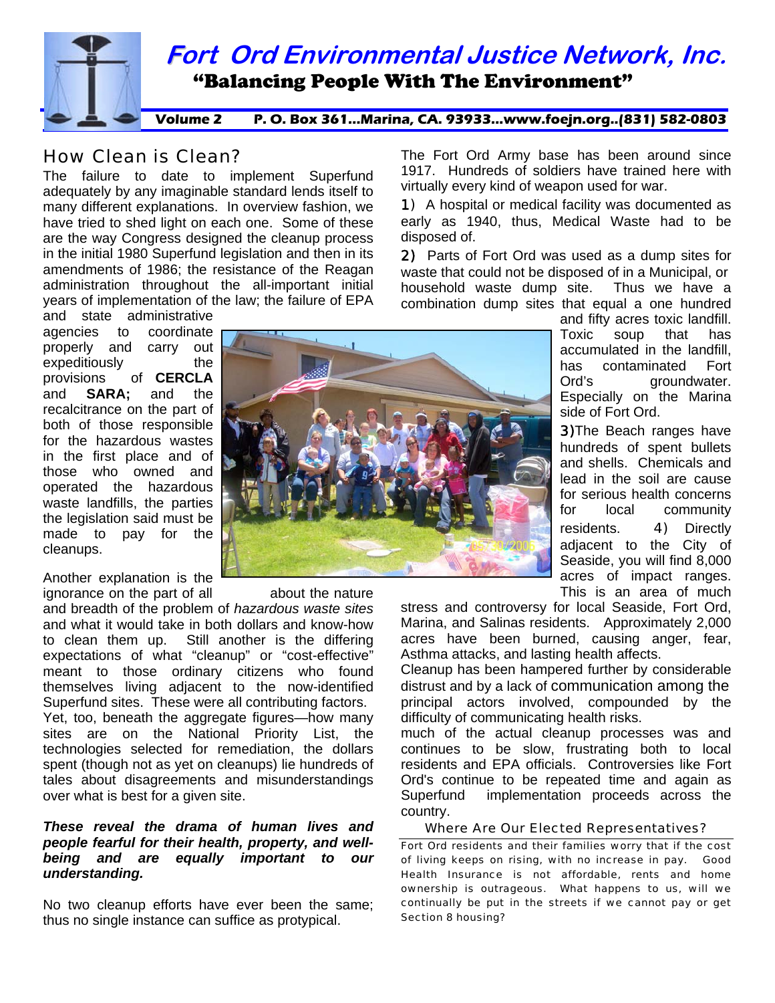

# How Clean is Clean?

The failure to date to implement Superfund adequately by any imaginable standard lends itself to many different explanations. In overview fashion, we have tried to shed light on each one. Some of these are the way Congress designed the cleanup process in the initial 1980 Superfund legislation and then in its amendments of 1986; the resistance of the Reagan administration throughout the all-important initial years of implementation of the law; the failure of EPA

and state administrative agencies to coordinate properly and carry out expeditiously the provisions of **CERCLA** and **SARA;** and the recalcitrance on the part of both of those responsible for the hazardous wastes in the first place and of those who owned and operated the hazardous waste landfills, the parties the legislation said must be made to pay for the cleanups.

Another explanation is the

over what is best for a given site. ignorance on the part of all about the nature and breadth of the problem of *hazardous waste sites*  and what it would take in both dollars and know-how to clean them up. Still another is the differing expectations of what "cleanup" or "cost-effective" meant to those ordinary citizens who found themselves living adjacent to the now-identified Superfund sites. These were all contributing factors. Yet, too, beneath the aggregate figures—how many sites are on the National Priority List, the technologies selected for remediation, the dollars spent (though not as yet on cleanups) lie hundreds of tales about disagreements and misunderstandings

#### being and are equally important to our *nderstanding. u These reveal the drama of human lives and people fearful for their health, property, and well-*

No two cleanup efforts have ever been the same; thus no single instance can suffice as protypical.

1917. Hundreds of soldiers have trained here with The Fort Ord Army base has been around since virtually every kind of weapon used for war.

early as 1940, thus, Medical Waste had to be 1) A hospital or medical facility was documented as disposed of.

2) Parts of Fort Ord was used as a dump sites for waste that could not be disposed of in a Municipal, or household waste dump site. Thus we have a combination dump sites that equal a one hundred



groundwater. and fifty acres toxic landfill. Toxic soup that has accumulated in the landfill, has contaminated Fort  $Ord's$ Especially on the Marina side of Fort Ord.

**3)**The Beach ranges have hundreds of spent bullets and shells. Chemicals and lead in the soil are cause for serious health concerns for local community residents. 4) Directly adjacent to the City of Seaside, you will find 8,000 acres of impact ranges. This is an area of much

acres have been burned, causing anger, fear, stress and controversy for local Seaside, Fort Ord, Marina, and Salinas residents. Approximately 2,000 Asthma attacks, and lasting health affects.

principal actors involved, compounded by the Cleanup has been hampered further by considerable distrust and by a lack of communication among the difficulty of communicating health risks.

 implementation proceeds across the country. much of the actual cleanup processes was and continues to be slow, frustrating both to local residents and EPA officials. Controversies like Fort Ord's continue to be repeated time and again as Superfund

#### Where Are Our Elected Representatives?

Fort Ord residents and their families worry that if the cost of living keeps on rising, with no increase in pay. Good Health Insurance is not affordable, rents and home ownership is outrageous. What happens to us, will we continually be put in the streets if we cannot pay or get Section 8 housing?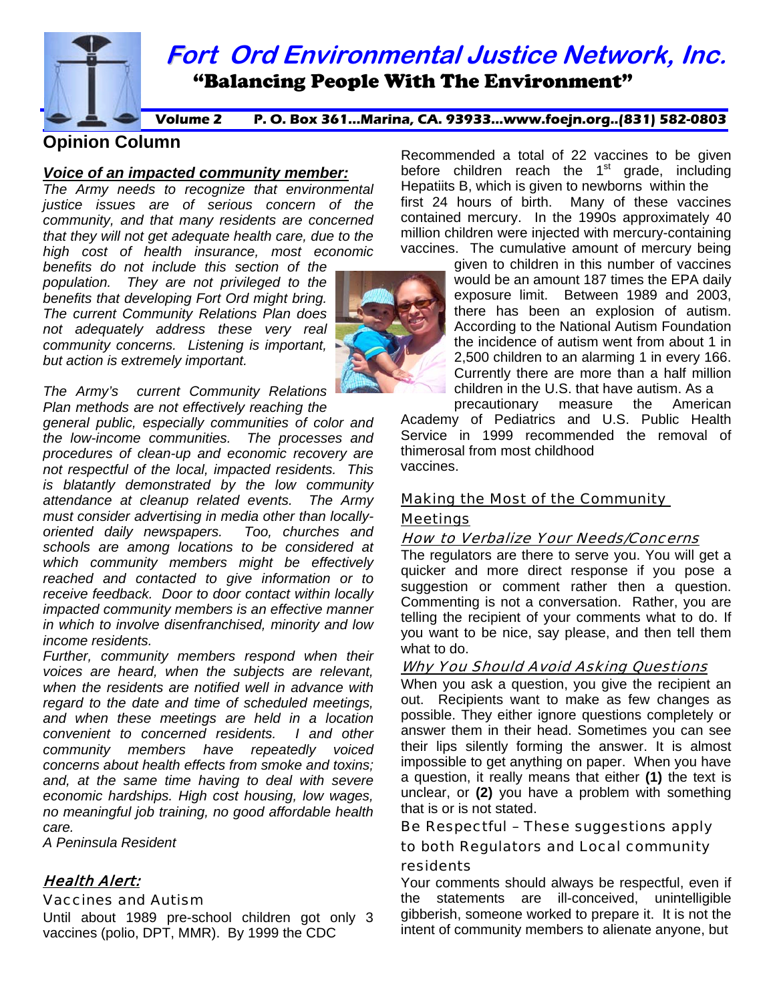**Fort Ord Environmental Justice Network, Inc.** 

**Volume 2 P. O. Box 361...Marina, CA. 93933...www.foejn.org..(831) 582-0803** 

"Balancing People With The Environment"

# **Opinion Column**

# *Voice of an impacted community member:*

*The Army needs to recognize that environmental justice issues are of serious concern of the community, and that many residents are concerned that they will not get adequate health care, due to the high cost of health insurance, most economic* 

*benefits do not include this section of the population. They are not privileged to the benefits that developing Fort Ord might bring. The current Community Relations Plan does not adequately address these very real community concerns. Listening is important, but action is extremely important.* 

*The Army's current Community Relations Plan methods are not effectively reaching the* 

*general public, especially communities of color and the low-income communities. The processes and procedures of clean-up and economic recovery are not respectful of the local, impacted residents. This is blatantly demonstrated by the low community attendance at cleanup related events. The Army must consider advertising in media other than locallyoriented daily newspapers. Too, churches and schools are among locations to be considered at which community members might be effectively reached and contacted to give information or to receive feedback. Door to door contact within locally impacted community members is an effective manner in which to involve disenfranchised, minority and low income residents.* 

*Further, community members respond when their voices are heard, when the subjects are relevant, when the residents are notified well in advance with regard to the date and time of scheduled meetings, and when these meetings are held in a location convenient to concerned residents. I and other community members have repeatedly voiced concerns about health effects from smoke and toxins; and, at the same time having to deal with severe economic hardships. High cost housing, low wages, no meaningful job training, no good affordable health care.* 

*A Peninsula Resident* 

# Health Alert:

## Vaccines and Autism

Until about 1989 pre-school children got only 3 vaccines (polio, DPT, MMR). By 1999 the CDC

Recommended a total of 22 vaccines to be given before children reach the  $1<sup>st</sup>$  grade, including Hepatiits B, which is given to newborns within the first 24 hours of birth. Many of these vaccines contained mercury. In the 1990s approximately 40 million children were injected with mercury-containing vaccines. The cumulative amount of mercury being

given to children in this number of vaccines would be an amount 187 times the EPA daily exposure limit. Between 1989 and 2003, there has been an explosion of autism. According to the National Autism Foundation the incidence of autism went from about 1 in 2,500 children to an alarming 1 in every 166. Currently there are more than a half million children in the U.S. that have autism. As a

precautionary measure the American Academy of Pediatrics and U.S. Public Health Service in 1999 recommended the removal of thimerosal from most childhood vaccines.

# Making the Most of the Community Meetings

## How to Verbalize Your Needs/Concerns

The regulators are there to serve you. You will get a quicker and more direct response if you pose a suggestion or comment rather then a question. Commenting is not a conversation. Rather, you are telling the recipient of your comments what to do. If you want to be nice, say please, and then tell them what to do.

## Why You Should Avoid Asking Questions

When you ask a question, you give the recipient an out. Recipients want to make as few changes as possible. They either ignore questions completely or answer them in their head. Sometimes you can see their lips silently forming the answer. It is almost impossible to get anything on paper. When you have a question, it really means that either **(1)** the text is unclear, or **(2)** you have a problem with something that is or is not stated.

## Be Respectful – These suggestions apply to both Regulators and Local community

## residents

Your comments should always be respectful, even if the statements are ill-conceived, unintelligible gibberish, someone worked to prepare it. It is not the intent of community members to alienate anyone, but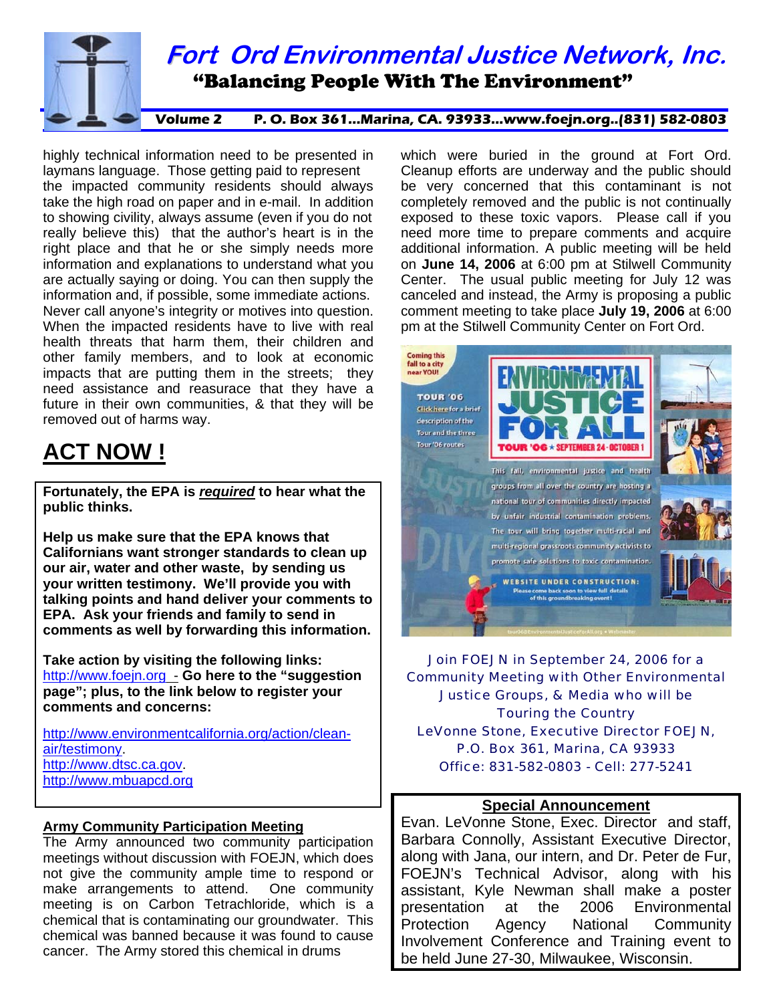

highly technical information need to be presented in laymans language. Those getting paid to represent the impacted community residents should always take the high road on paper and in e-mail. In addition to showing civility, always assume (even if you do not really believe this) that the author's heart is in the right place and that he or she simply needs more information and explanations to understand what you are actually saying or doing. You can then supply the information and, if possible, some immediate actions. Never call anyone's integrity or motives into question. When the impacted residents have to live with real health threats that harm them, their children and other family members, and to look at economic impacts that are putting them in the streets; they need assistance and reasurace that they have a future in their own communities, & that they will be removed out of harms way.

# **ACT NOW !**

**Fortunately, the EPA is** *required* **to hear what the public thinks.** 

**Help us make sure that the EPA knows that Californians want stronger standards to clean up our air, water and other waste, by sending us your written testimony. We'll provide you with talking points and hand deliver your comments to EPA. Ask your friends and family to send in comments as well by forwarding this information.** 

**Take action by visiting the following links:**  [http://www.foejn.org](http://www.foejn.org/) - **Go here to the "suggestion page"; plus, to the link below to register your comments and concerns:** 

[http://www.environmentcalifornia.org/action/clean](http://www.environmentcalifornia.org/action/clean-air/testimony)[air/testimony](http://www.environmentcalifornia.org/action/clean-air/testimony). [http://www.dtsc.ca.gov](http://www.dtsc.ca.gov/). [http://www.mbuapcd.org](http://www.mbuapcd.org/)

#### **Army Community Participation Meeting**

The Army announced two community participation meetings without discussion with FOEJN, which does not give the community ample time to respond or make arrangements to attend. One community meeting is on Carbon Tetrachloride, which is a chemical that is contaminating our groundwater. This chemical was banned because it was found to cause cancer. The Army stored this chemical in drums

which were buried in the ground at Fort Ord. Cleanup efforts are underway and the public should be very concerned that this contaminant is not completely removed and the public is not continually exposed to these toxic vapors. Please call if you need more time to prepare comments and acquire additional information. A public meeting will be held on **June 14, 2006** at 6:00 pm at Stilwell Community Center. The usual public meeting for July 12 was canceled and instead, the Army is proposing a public comment meeting to take place **July 19, 2006** at 6:00 pm at the Stilwell Community Center on Fort Ord.



Join FOEJN in September 24, 2006 for a Community Meeting with Other Environmental Justice Groups, & Media who will be Touring the Country LeVonne Stone, Executive Director FOEJN, P.O. Box 361, Marina, CA 93933 Office: 831-582-0803 - Cell: 277-5241

#### **Special Announcement**

Evan. LeVonne Stone, Exec. Director and staff, Barbara Connolly, Assistant Executive Director, along with Jana, our intern, and Dr. Peter de Fur, FOEJN's Technical Advisor, along with his assistant, Kyle Newman shall make a poster presentation at the 2006 Environmental Protection Agency National Community Involvement Conference and Training event to be held June 27-30, Milwaukee, Wisconsin.